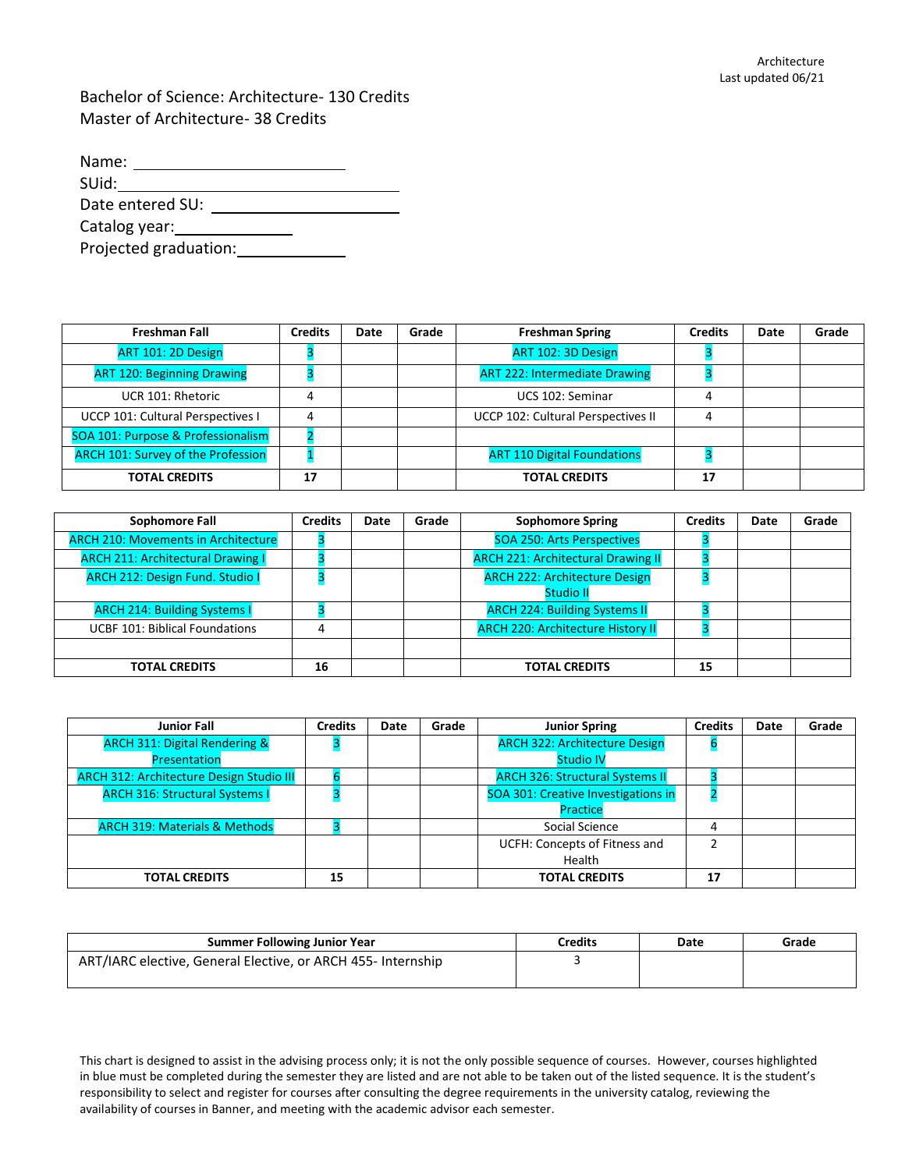Bachelor of Science: Architecture- 130 Credits Master of Architecture- 38 Credits

| Name:                 |  |
|-----------------------|--|
| SUid:                 |  |
| Date entered SU:      |  |
| Catalog year:         |  |
| Projected graduation: |  |

| <b>Freshman Fall</b>                      | <b>Credits</b> | Date | Grade | <b>Freshman Spring</b>               | <b>Credits</b> | Date | Grade |
|-------------------------------------------|----------------|------|-------|--------------------------------------|----------------|------|-------|
| ART 101: 2D Design                        |                |      |       | ART 102: 3D Design                   |                |      |       |
| <b>ART 120: Beginning Drawing</b>         |                |      |       | <b>ART 222: Intermediate Drawing</b> |                |      |       |
| UCR 101: Rhetoric                         |                |      |       | UCS 102: Seminar                     |                |      |       |
| UCCP 101: Cultural Perspectives I         |                |      |       | UCCP 102: Cultural Perspectives II   | 4              |      |       |
| SOA 101: Purpose & Professionalism        |                |      |       |                                      |                |      |       |
| <b>ARCH 101: Survey of the Profession</b> |                |      |       | <b>ART 110 Digital Foundations</b>   |                |      |       |
| <b>TOTAL CREDITS</b>                      | 17             |      |       | <b>TOTAL CREDITS</b>                 | 17             |      |       |

| Sophomore Fall                             | <b>Credits</b> | Date | Grade | <b>Sophomore Spring</b>                   | <b>Credits</b> | Date | Grade |
|--------------------------------------------|----------------|------|-------|-------------------------------------------|----------------|------|-------|
| <b>ARCH 210: Movements in Architecture</b> |                |      |       | <b>SOA 250: Arts Perspectives</b>         |                |      |       |
| <b>ARCH 211: Architectural Drawing I</b>   |                |      |       | <b>ARCH 221: Architectural Drawing II</b> |                |      |       |
| <b>ARCH 212: Design Fund. Studio I</b>     |                |      |       | <b>ARCH 222: Architecture Design</b>      |                |      |       |
|                                            |                |      |       | <b>Studio II</b>                          |                |      |       |
| <b>ARCH 214: Building Systems I</b>        |                |      |       | <b>ARCH 224: Building Systems II</b>      |                |      |       |
| <b>UCBF 101: Biblical Foundations</b>      | 4              |      |       | <b>ARCH 220: Architecture History II</b>  |                |      |       |
|                                            |                |      |       |                                           |                |      |       |
| <b>TOTAL CREDITS</b>                       | 16             |      |       | <b>TOTAL CREDITS</b>                      | 15             |      |       |

| <b>Junior Fall</b>                              | <b>Credits</b> | Date | Grade | <b>Junior Spring</b>                   | <b>Credits</b> | Date | Grade |
|-------------------------------------------------|----------------|------|-------|----------------------------------------|----------------|------|-------|
| <b>ARCH 311: Digital Rendering &amp;</b>        |                |      |       | <b>ARCH 322: Architecture Design</b>   |                |      |       |
| Presentation                                    |                |      |       | <b>Studio IV</b>                       |                |      |       |
| <b>ARCH 312: Architecture Design Studio III</b> |                |      |       | <b>ARCH 326: Structural Systems II</b> |                |      |       |
| <b>ARCH 316: Structural Systems I</b>           |                |      |       | SOA 301: Creative Investigations in    |                |      |       |
|                                                 |                |      |       | Practice                               |                |      |       |
| <b>ARCH 319: Materials &amp; Methods</b>        |                |      |       | Social Science                         | 4              |      |       |
|                                                 |                |      |       | UCFH: Concepts of Fitness and          |                |      |       |
|                                                 |                |      |       | Health                                 |                |      |       |
| <b>TOTAL CREDITS</b>                            | 15             |      |       | <b>TOTAL CREDITS</b>                   | 17             |      |       |

| <b>Summer Following Junior Year</b>                          | Credits | Date | Grade |
|--------------------------------------------------------------|---------|------|-------|
| ART/IARC elective, General Elective, or ARCH 455- Internship |         |      |       |
|                                                              |         |      |       |

This chart is designed to assist in the advising process only; it is not the only possible sequence of courses. However, courses highlighted in blue must be completed during the semester they are listed and are not able to be taken out of the listed sequence. It is the student's responsibility to select and register for courses after consulting the degree requirements in the university catalog, reviewing the availability of courses in Banner, and meeting with the academic advisor each semester.